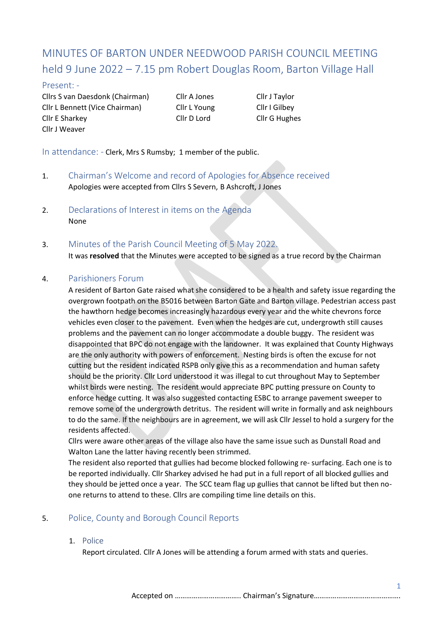# MINUTES OF BARTON UNDER NEEDWOOD PARISH COUNCIL MEETING held 9 June 2022 – 7.15 pm Robert Douglas Room, Barton Village Hall

#### Present: -

Cllrs S van Daesdonk (Chairman) Cllr A Jones Cllr J Taylor Cllr L Bennett (Vice Chairman) Cllr L Young Cllr I Gilbey Cllr E Sharkey Cllr D Lord Cllr G Hughes Cllr J Weaver

In attendance: - Clerk, Mrs S Rumsby; 1 member of the public.

- 1. Chairman's Welcome and record of Apologies for Absence received Apologies were accepted from Cllrs S Severn, B Ashcroft, J Jones
- 2. Declarations of Interest in items on the Agenda None
- 3. Minutes of the Parish Council Meeting of 5 May 2022.

It was **resolved** that the Minutes were accepted to be signed as a true record by the Chairman

#### 4. Parishioners Forum

A resident of Barton Gate raised what she considered to be a health and safety issue regarding the overgrown footpath on the B5016 between Barton Gate and Barton village. Pedestrian access past the hawthorn hedge becomes increasingly hazardous every year and the white chevrons force vehicles even closer to the pavement. Even when the hedges are cut, undergrowth still causes problems and the pavement can no longer accommodate a double buggy. The resident was disappointed that BPC do not engage with the landowner. It was explained that County Highways are the only authority with powers of enforcement. Nesting birds is often the excuse for not cutting but the resident indicated RSPB only give this as a recommendation and human safety should be the priority. Cllr Lord understood it was illegal to cut throughout May to September whilst birds were nesting. The resident would appreciate BPC putting pressure on County to enforce hedge cutting. It was also suggested contacting ESBC to arrange pavement sweeper to remove some of the undergrowth detritus. The resident will write in formally and ask neighbours to do the same. If the neighbours are in agreement, we will ask Cllr Jessel to hold a surgery for the residents affected.

Cllrs were aware other areas of the village also have the same issue such as Dunstall Road and Walton Lane the latter having recently been strimmed.

The resident also reported that gullies had become blocked following re- surfacing. Each one is to be reported individually. Cllr Sharkey advised he had put in a full report of all blocked gullies and they should be jetted once a year. The SCC team flag up gullies that cannot be lifted but then noone returns to attend to these. Cllrs are compiling time line details on this.

# 5. Police, County and Borough Council Reports

#### 1. Police

Report circulated. Cllr A Jones will be attending a forum armed with stats and queries.

1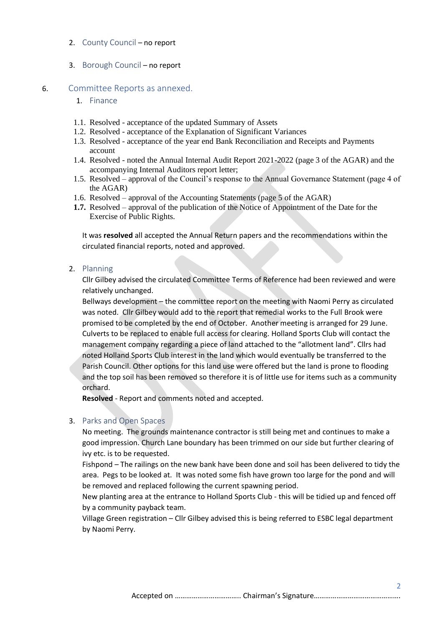- 2. County Council no report
- 3. Borough Council no report
- 6. Committee Reports as annexed.
	- 1. Finance
	- 1.1. Resolved acceptance of the updated Summary of Assets
	- 1.2. Resolved acceptance of the Explanation of Significant Variances
	- 1.3. Resolved acceptance of the year end Bank Reconciliation and Receipts and Payments account
	- 1.4. Resolved noted the Annual Internal Audit Report 2021-2022 (page 3 of the AGAR) and the accompanying Internal Auditors report letter;
	- 1.5. Resolved approval of the Council's response to the Annual Governance Statement (page 4 of the AGAR)
	- 1.6. Resolved approval of the Accounting Statements (page 5 of the AGAR)
	- **1.7.** Resolved approval of the publication of the Notice of Appointment of the Date for the Exercise of Public Rights.

It was **resolved** all accepted the Annual Return papers and the recommendations within the circulated financial reports, noted and approved.

2. Planning

Cllr Gilbey advised the circulated Committee Terms of Reference had been reviewed and were relatively unchanged.

Bellways development – the committee report on the meeting with Naomi Perry as circulated was noted. Cllr Gilbey would add to the report that remedial works to the Full Brook were promised to be completed by the end of October. Another meeting is arranged for 29 June. Culverts to be replaced to enable full access for clearing. Holland Sports Club will contact the management company regarding a piece of land attached to the "allotment land". Cllrs had noted Holland Sports Club interest in the land which would eventually be transferred to the Parish Council. Other options for this land use were offered but the land is prone to flooding and the top soil has been removed so therefore it is of little use for items such as a community orchard.

**Resolved** - Report and comments noted and accepted.

#### 3. Parks and Open Spaces

No meeting. The grounds maintenance contractor is still being met and continues to make a good impression. Church Lane boundary has been trimmed on our side but further clearing of ivy etc. is to be requested.

Fishpond – The railings on the new bank have been done and soil has been delivered to tidy the area. Pegs to be looked at. It was noted some fish have grown too large for the pond and will be removed and replaced following the current spawning period.

New planting area at the entrance to Holland Sports Club - this will be tidied up and fenced off by a community payback team.

Village Green registration – Cllr Gilbey advised this is being referred to ESBC legal department by Naomi Perry.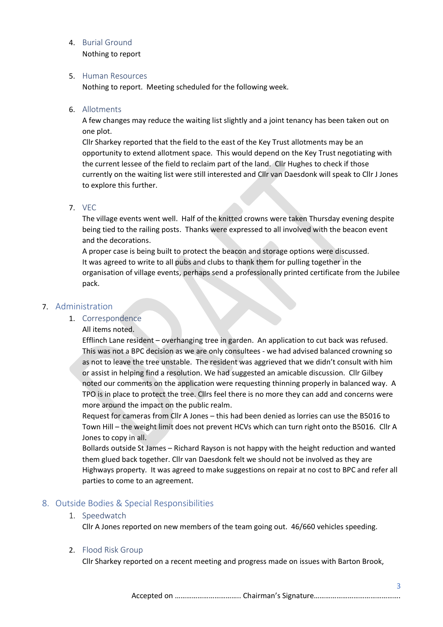# 4. Burial Ground

Nothing to report

# 5. Human Resources

Nothing to report. Meeting scheduled for the following week.

#### 6. Allotments

A few changes may reduce the waiting list slightly and a joint tenancy has been taken out on one plot.

Cllr Sharkey reported that the field to the east of the Key Trust allotments may be an opportunity to extend allotment space. This would depend on the Key Trust negotiating with the current lessee of the field to reclaim part of the land. Cllr Hughes to check if those currently on the waiting list were still interested and Cllr van Daesdonk will speak to Cllr J Jones to explore this further.

# 7. VEC

The village events went well. Half of the knitted crowns were taken Thursday evening despite being tied to the railing posts. Thanks were expressed to all involved with the beacon event and the decorations.

A proper case is being built to protect the beacon and storage options were discussed. It was agreed to write to all pubs and clubs to thank them for pulling together in the organisation of village events, perhaps send a professionally printed certificate from the Jubilee pack.

# 7. Administration

# 1. Correspondence

All items noted.

Efflinch Lane resident – overhanging tree in garden. An application to cut back was refused. This was not a BPC decision as we are only consultees - we had advised balanced crowning so as not to leave the tree unstable. The resident was aggrieved that we didn't consult with him or assist in helping find a resolution. We had suggested an amicable discussion. Cllr Gilbey noted our comments on the application were requesting thinning properly in balanced way. A TPO is in place to protect the tree. Cllrs feel there is no more they can add and concerns were more around the impact on the public realm.

Request for cameras from Cllr A Jones – this had been denied as lorries can use the B5016 to Town Hill – the weight limit does not prevent HCVs which can turn right onto the B5016. Cllr A Jones to copy in all.

Bollards outside St James – Richard Rayson is not happy with the height reduction and wanted them glued back together. Cllr van Daesdonk felt we should not be involved as they are Highways property. It was agreed to make suggestions on repair at no cost to BPC and refer all parties to come to an agreement.

# 8. Outside Bodies & Special Responsibilities

#### 1. Speedwatch

Cllr A Jones reported on new members of the team going out. 46/660 vehicles speeding.

# 2. Flood Risk Group

Cllr Sharkey reported on a recent meeting and progress made on issues with Barton Brook,

Accepted on …………………………….. Chairman's Signature……………………………………….

3